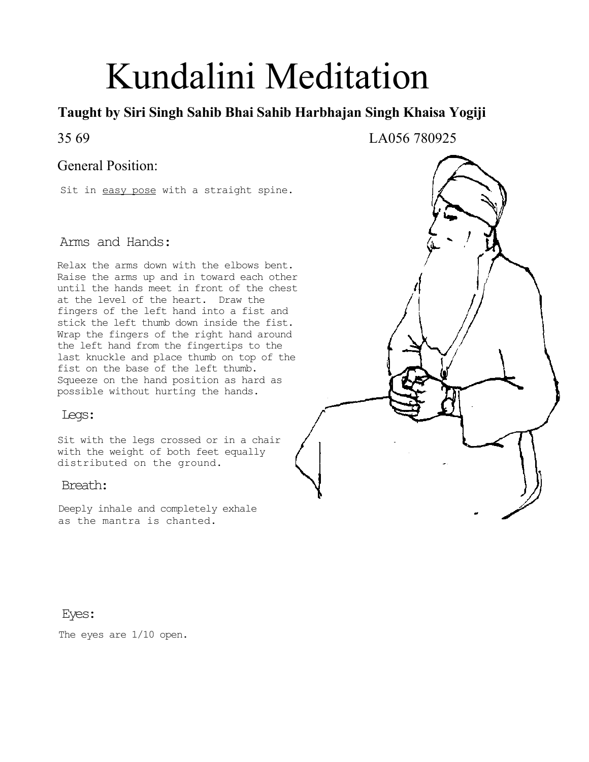# Kundalini Meditation

## **Taught by Siri Singh Sahib Bhai Sahib Harbhajan Singh Khaisa Yogiji**

35 69 LA056 780925

### General Position:

Sit in easy pose with a straight spine.

Arms and Hands:

Relax the arms down with the elbows bent. Raise the arms up and in toward each other until the hands meet in front of the chest at the level of the heart. Draw the fingers of the left hand into a fist and stick the left thumb down inside the fist. Wrap the fingers of the right hand around the left hand from the fingertips to the last knuckle and place thumb on top of the fist on the base of the left thumb. Squeeze on the hand position as hard as possible without hurting the hands.

#### Legs:

Sit with the legs crossed or in a chair with the weight of both feet equally distributed on the ground.

#### Breath:

Deeply inhale and completely exhale as the mantra is chanted.



Eyes:

The eyes are 1/10 open.